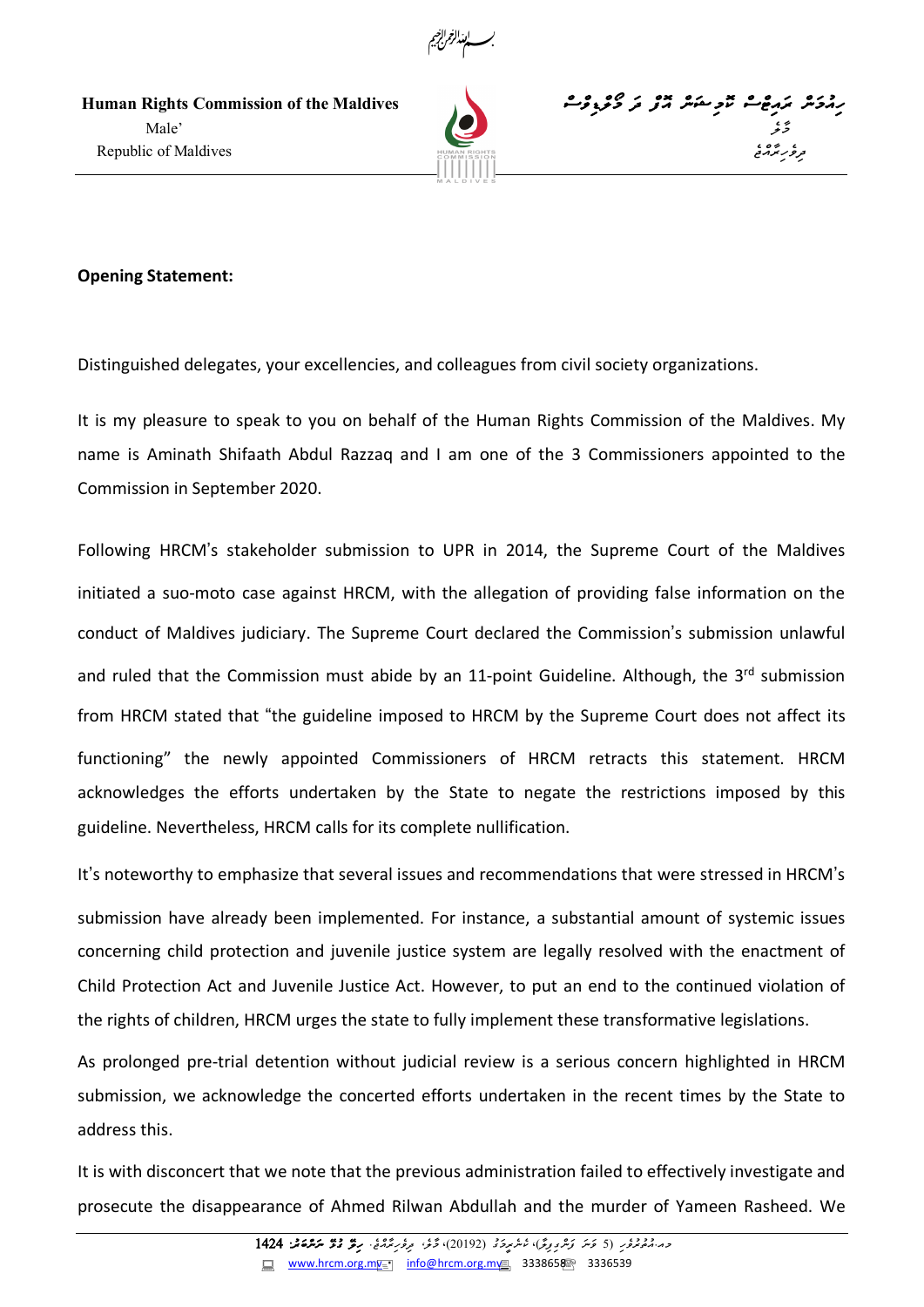

مِمْهُمَّةً مِنْ مِنْ مِنْ مِنْ مِنْ مِنْ الْمَسْرِحِمْنَةً مِنْ كَنْتَ مِنْ كَنْتَ مِنْ مِنْ كَنْتَ مِنْ مِنْ<br>مِسْتَمَامِينَ الْمَسْرِحِمَّةً مِنْ مِنْ مِنْ الْمَسْرِحِينَ مِنْ كَنْتَ مِنْ مِنْ الْمَسْرِحِينَ مِنْ الْمَ گر در مقابل ایران ایران به این مقابل از این مقابل ایران به این مقابل ایران به این مقابل از ایران ایران ایران ا<br>مقابل ایران ایران به ایران ایران ایران به ایران ایران ایران ایران ایران ایران ایران ایران ایران ایران ایران ا موغ سنة المسلمان المسلمان المسلمان المسلمان المسلمان المسلمان المسلمان المسلمان المسلمان المسلمان المسلمان المس





## **Opening Statement:**

Distinguished delegates, your excellencies, and colleagues from civil society organizations.

It is my pleasure to speak to you on behalf of the Human Rights Commission of the Maldives. My name is Aminath Shifaath Abdul Razzaq and I am one of the 3 Commissioners appointed to the Commission in September 2020.

Following HRCM's stakeholder submission to UPR in 2014, the Supreme Court of the Maldives initiated a suo-moto case against HRCM, with the allegation of providing false information on the conduct of Maldives judiciary. The Supreme Court declared the Commission's submission unlawful and ruled that the Commission must abide by an 11-point Guideline. Although, the 3rd submission from HRCM stated that "the guideline imposed to HRCM by the Supreme Court does not affect its functioning" the newly appointed Commissioners of HRCM retracts this statement. HRCM acknowledges the efforts undertaken by the State to negate the restrictions imposed by this guideline. Nevertheless, HRCM calls for its complete nullification.

It's noteworthy to emphasize that several issues and recommendations that were stressed in HRCM's submission have already been implemented. For instance, a substantial amount of systemic issues concerning child protection and juvenile justice system are legally resolved with the enactment of Child Protection Act and Juvenile Justice Act. However, to put an end to the continued violation of the rights of children, HRCM urges the state to fully implement these transformative legislations.

As prolonged pre-trial detention without judicial review is a serious concern highlighted in HRCM submission, we acknowledge the concerted efforts undertaken in the recent times by the State to address this.

It is with disconcert that we note that the previous administration failed to effectively investigate and prosecute the disappearance of Ahmed Rilwan Abdullah and the murder of Yameen Rasheed. We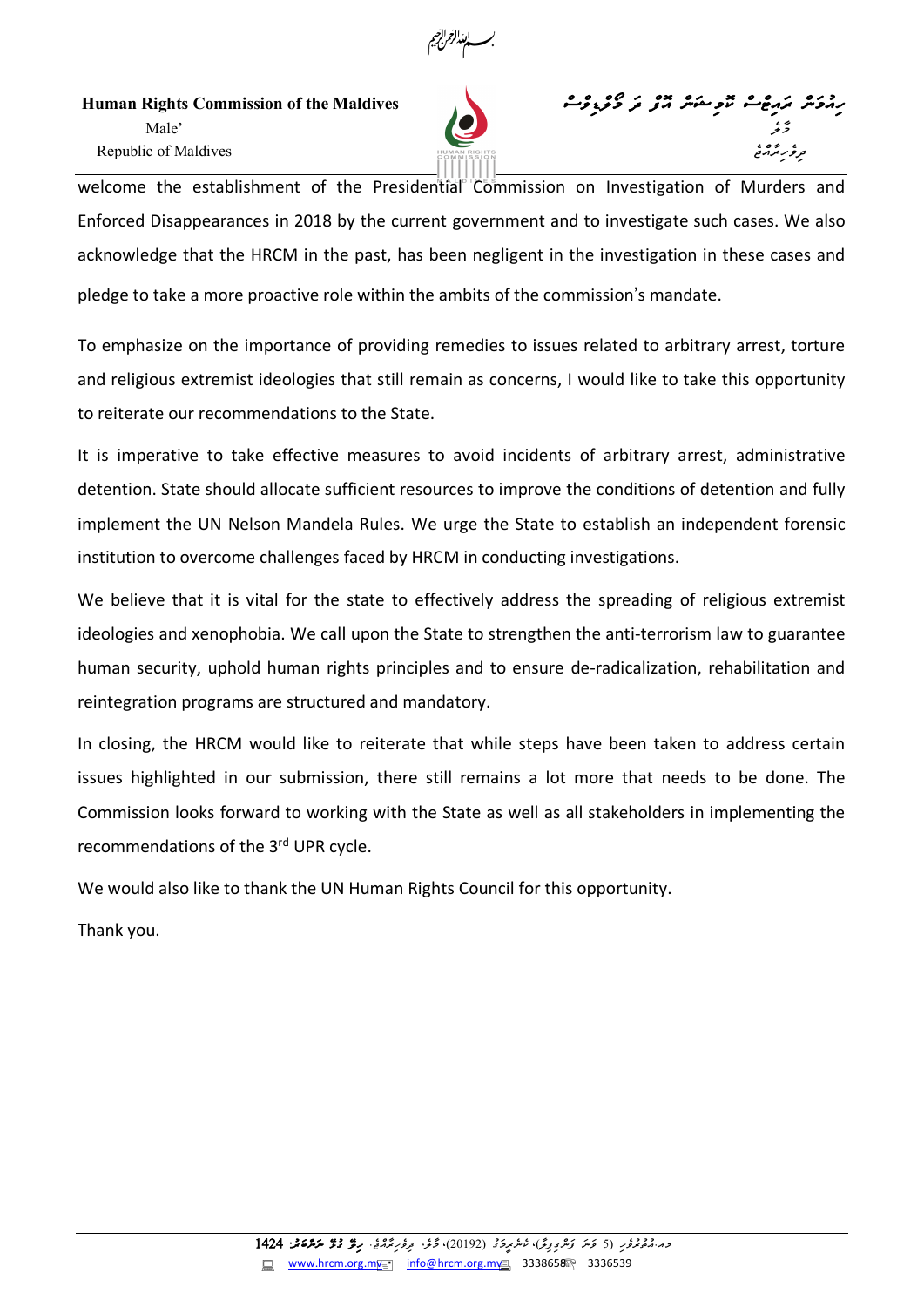

مِمْهُمَّةً مِنْ مِنْ مِنْ مِنْ مِنْ مِنْ الْمَسْرِحِمْنَةً مِنْ كَنْتَ مِنْ كَنْتَ مِنْ مِنْ كَنْتَ مِنْ مِنْ<br>مِسْتَمَامِينَ الْمَسْرِحِمَّةً مِنْ مِنْ مِنْ الْمَسْرِحِينَ مِنْ كَنْتَ مِنْ مِنْ الْمَسْرِحِينَ مِنْ الْمَ گر در مقابل ایران ایران به این مقابل از این مقابل ایران به این مقابل ایران به این مقابل از ایران ایران ایران ا<br>مقابل ایران ایران به ایران ایران ایران به ایران ایران ایران ایران ایران ایران ایران ایران ایران ایران ایران ا Republic of Maldives



welcome the establishment of the Presidential Commission on Investigation of Murders and Enforced Disappearances in 2018 by the current government and to investigate such cases. We also acknowledge that the HRCM in the past, has been negligent in the investigation in these cases and pledge to take a more proactive role within the ambits of the commission's mandate.

To emphasize on the importance of providing remedies to issues related to arbitrary arrest, torture and religious extremist ideologies that still remain as concerns, I would like to take this opportunity to reiterate our recommendations to the State.

It is imperative to take effective measures to avoid incidents of arbitrary arrest, administrative detention. State should allocate sufficient resources to improve the conditions of detention and fully implement the UN Nelson Mandela Rules. We urge the State to establish an independent forensic institution to overcome challenges faced by HRCM in conducting investigations.

We believe that it is vital for the state to effectively address the spreading of religious extremist ideologies and xenophobia. We call upon the State to strengthen the anti-terrorism law to guarantee human security, uphold human rights principles and to ensure de-radicalization, rehabilitation and reintegration programs are structured and mandatory.

In closing, the HRCM would like to reiterate that while steps have been taken to address certain issues highlighted in our submission, there still remains a lot more that needs to be done. The Commission looks forward to working with the State as well as all stakeholders in implementing the recommendations of the 3rd UPR cycle.

We would also like to thank the UN Human Rights Council for this opportunity.

Thank you.